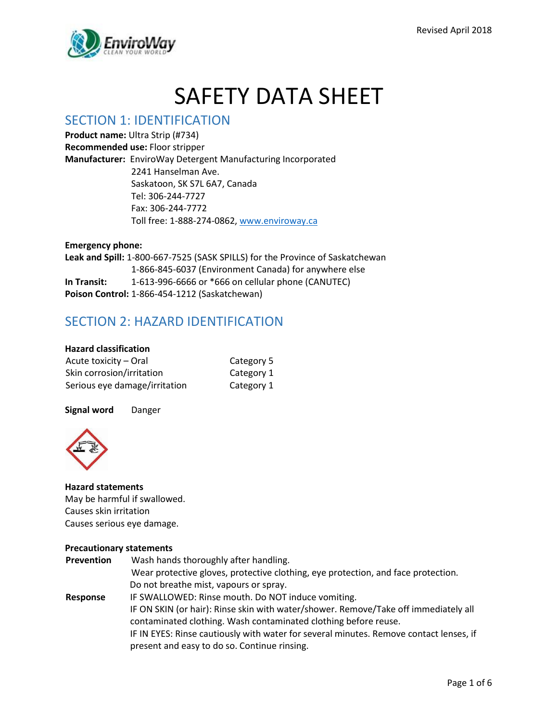

# SAFETY DATA SHEET

### SECTION 1: IDENTIFICATION

**Product name:** Ultra Strip (#734) **Recommended use:** Floor stripper **Manufacturer:** EnviroWay Detergent Manufacturing Incorporated 2241 Hanselman Ave. Saskatoon, SK S7L 6A7, Canada Tel: 306-244-7727 Fax: 306-244-7772 Toll free: 1-888-274-0862, [www.enviroway.ca](http://www.enviroway.ca/)

#### **Emergency phone:**

**Leak and Spill:** 1-800-667-7525 (SASK SPILLS) for the Province of Saskatchewan 1-866-845-6037 (Environment Canada) for anywhere else **In Transit:** 1-613-996-6666 or \*666 on cellular phone (CANUTEC) **Poison Control:** 1-866-454-1212 (Saskatchewan)

# SECTION 2: HAZARD IDENTIFICATION

#### **Hazard classification**

| Acute toxicity - Oral         | Category 5 |
|-------------------------------|------------|
| Skin corrosion/irritation     | Category 1 |
| Serious eye damage/irritation | Category 1 |

**Signal word** Danger



#### **Hazard statements**  May be harmful if swallowed. Causes skin irritation Causes serious eye damage.

#### **Precautionary statements**

| Prevention | Wash hands thoroughly after handling.                                                                                                                  |
|------------|--------------------------------------------------------------------------------------------------------------------------------------------------------|
|            | Wear protective gloves, protective clothing, eye protection, and face protection.                                                                      |
|            | Do not breathe mist, vapours or spray.                                                                                                                 |
| Response   | IF SWALLOWED: Rinse mouth. Do NOT induce vomiting.                                                                                                     |
|            | IF ON SKIN (or hair): Rinse skin with water/shower. Remove/Take off immediately all<br>contaminated clothing. Wash contaminated clothing before reuse. |
|            | IF IN EYES: Rinse cautiously with water for several minutes. Remove contact lenses, if                                                                 |
|            | present and easy to do so. Continue rinsing.                                                                                                           |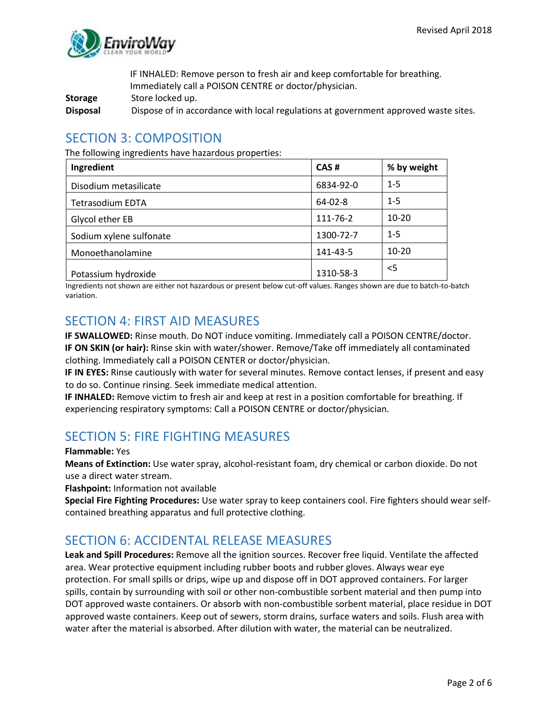

IF INHALED: Remove person to fresh air and keep comfortable for breathing. Immediately call a POISON CENTRE or doctor/physician.

**Storage** Store locked up.

**Disposal** Dispose of in accordance with local regulations at government approved waste sites.

### SECTION 3: COMPOSITION

The following ingredients have hazardous properties:

| Ingredient              | CAS#          | % by weight |
|-------------------------|---------------|-------------|
| Disodium metasilicate   | 6834-92-0     | $1 - 5$     |
| <b>Tetrasodium EDTA</b> | $64 - 02 - 8$ | $1 - 5$     |
| Glycol ether EB         | 111-76-2      | $10 - 20$   |
| Sodium xylene sulfonate | 1300-72-7     | $1 - 5$     |
| Monoethanolamine        | 141-43-5      | $10 - 20$   |
| Potassium hydroxide     | 1310-58-3     | $<$ 5       |

Ingredients not shown are either not hazardous or present below cut-off values. Ranges shown are due to batch-to-batch variation.

### SECTION 4: FIRST AID MEASURES

**IF SWALLOWED:** Rinse mouth. Do NOT induce vomiting. Immediately call a POISON CENTRE/doctor. **IF ON SKIN (or hair):** Rinse skin with water/shower. Remove/Take off immediately all contaminated clothing. Immediately call a POISON CENTER or doctor/physician.

**IF IN EYES:** Rinse cautiously with water for several minutes. Remove contact lenses, if present and easy to do so. Continue rinsing. Seek immediate medical attention.

**IF INHALED:** Remove victim to fresh air and keep at rest in a position comfortable for breathing. If experiencing respiratory symptoms: Call a POISON CENTRE or doctor/physician.

### SECTION 5: FIRE FIGHTING MEASURES

#### **Flammable:** Yes

**Means of Extinction:** Use water spray, alcohol-resistant foam, dry chemical or carbon dioxide. Do not use a direct water stream.

**Flashpoint:** Information not available

**Special Fire Fighting Procedures:** Use water spray to keep containers cool. Fire fighters should wear selfcontained breathing apparatus and full protective clothing.

# SECTION 6: ACCIDENTAL RELEASE MEASURES

**Leak and Spill Procedures:** Remove all the ignition sources. Recover free liquid. Ventilate the affected area. Wear protective equipment including rubber boots and rubber gloves. Always wear eye protection. For small spills or drips, wipe up and dispose off in DOT approved containers. For larger spills, contain by surrounding with soil or other non-combustible sorbent material and then pump into DOT approved waste containers. Or absorb with non-combustible sorbent material, place residue in DOT approved waste containers. Keep out of sewers, storm drains, surface waters and soils. Flush area with water after the material is absorbed. After dilution with water, the material can be neutralized.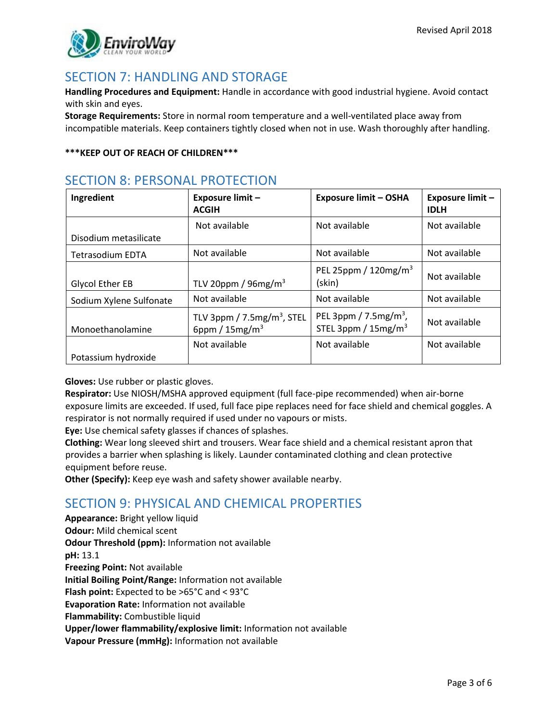

### SECTION 7: HANDLING AND STORAGE

**Handling Procedures and Equipment:** Handle in accordance with good industrial hygiene. Avoid contact with skin and eyes.

**Storage Requirements:** Store in normal room temperature and a well-ventilated place away from incompatible materials. Keep containers tightly closed when not in use. Wash thoroughly after handling.

#### **\*\*\*KEEP OUT OF REACH OF CHILDREN\*\*\***

# SECTION 8: PERSONAL PROTECTION

| Ingredient              | Exposure limit -<br><b>ACGIH</b>                              | <b>Exposure limit - OSHA</b>                                            | Exposure limit -<br><b>IDLH</b> |
|-------------------------|---------------------------------------------------------------|-------------------------------------------------------------------------|---------------------------------|
| Disodium metasilicate   | Not available                                                 | Not available                                                           | Not available                   |
| <b>Tetrasodium EDTA</b> | Not available                                                 | Not available                                                           | Not available                   |
| Glycol Ether EB         | TLV 20ppm / $96mg/m3$                                         | PEL 25ppm / $120$ mg/m <sup>3</sup><br>(skin)                           | Not available                   |
| Sodium Xylene Sulfonate | Not available                                                 | Not available                                                           | Not available                   |
| Monoethanolamine        | TLV 3ppm / $7.5$ mg/m <sup>3</sup> , STEL<br>6ppm / $15mg/m3$ | PEL 3ppm / $7.5$ mg/m <sup>3</sup> ,<br>STEL 3ppm / 15mg/m <sup>3</sup> | Not available                   |
| Potassium hydroxide     | Not available                                                 | Not available                                                           | Not available                   |

**Gloves:** Use rubber or plastic gloves.

**Respirator:** Use NIOSH/MSHA approved equipment (full face-pipe recommended) when air-borne exposure limits are exceeded. If used, full face pipe replaces need for face shield and chemical goggles. A respirator is not normally required if used under no vapours or mists.

**Eye:** Use chemical safety glasses if chances of splashes.

**Clothing:** Wear long sleeved shirt and trousers. Wear face shield and a chemical resistant apron that provides a barrier when splashing is likely. Launder contaminated clothing and clean protective equipment before reuse.

**Other (Specify):** Keep eye wash and safety shower available nearby.

# SECTION 9: PHYSICAL AND CHEMICAL PROPERTIES

**Appearance:** Bright yellow liquid **Odour:** Mild chemical scent **Odour Threshold (ppm):** Information not available **pH:** 13.1 **Freezing Point:** Not available **Initial Boiling Point/Range:** Information not available **Flash point:** Expected to be >65°C and < 93°C **Evaporation Rate:** Information not available **Flammability:** Combustible liquid **Upper/lower flammability/explosive limit:** Information not available **Vapour Pressure (mmHg):** Information not available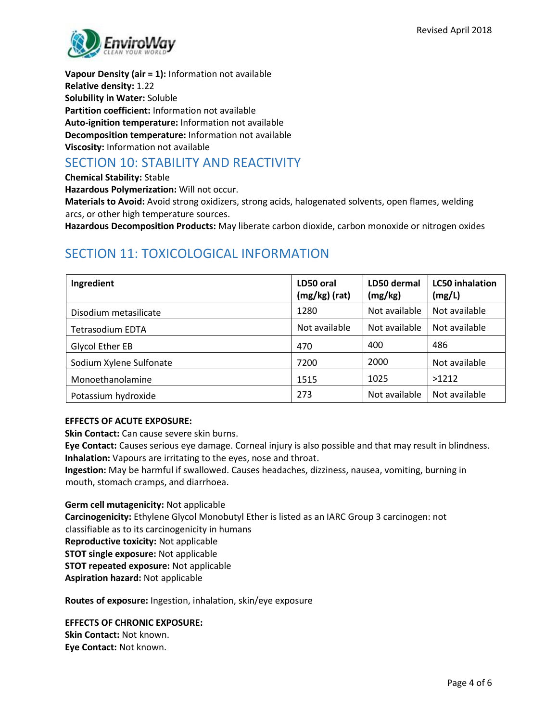

**Vapour Density (air = 1):** Information not available **Relative density:** 1.22 **Solubility in Water:** Soluble **Partition coefficient:** Information not available **Auto-ignition temperature:** Information not available **Decomposition temperature:** Information not available **Viscosity:** Information not available

### SECTION 10: STABILITY AND REACTIVITY

**Chemical Stability:** Stable

**Hazardous Polymerization:** Will not occur.

**Materials to Avoid:** Avoid strong oxidizers, strong acids, halogenated solvents, open flames, welding arcs, or other high temperature sources.

**Hazardous Decomposition Products:** May liberate carbon dioxide, carbon monoxide or nitrogen oxides

# SECTION 11: TOXICOLOGICAL INFORMATION

| Ingredient              | LD50 oral<br>$(mg/kg)$ (rat) | LD50 dermal<br>(mg/kg) | <b>LC50</b> inhalation<br>(mg/L) |
|-------------------------|------------------------------|------------------------|----------------------------------|
| Disodium metasilicate   | 1280                         | Not available          | Not available                    |
| <b>Tetrasodium EDTA</b> | Not available                | Not available          | Not available                    |
| Glycol Ether EB         | 470                          | 400                    | 486                              |
| Sodium Xylene Sulfonate | 7200                         | 2000                   | Not available                    |
| Monoethanolamine        | 1515                         | 1025                   | >1212                            |
| Potassium hydroxide     | 273                          | Not available          | Not available                    |

#### **EFFECTS OF ACUTE EXPOSURE:**

**Skin Contact:** Can cause severe skin burns.

**Eye Contact:** Causes serious eye damage. Corneal injury is also possible and that may result in blindness. **Inhalation:** Vapours are irritating to the eyes, nose and throat.

**Ingestion:** May be harmful if swallowed. Causes headaches, dizziness, nausea, vomiting, burning in mouth, stomach cramps, and diarrhoea.

**Germ cell mutagenicity:** Not applicable **Carcinogenicity:** Ethylene Glycol Monobutyl Ether is listed as an IARC Group 3 carcinogen: not classifiable as to its carcinogenicity in humans **Reproductive toxicity:** Not applicable **STOT single exposure:** Not applicable **STOT repeated exposure:** Not applicable **Aspiration hazard:** Not applicable

**Routes of exposure:** Ingestion, inhalation, skin/eye exposure

**EFFECTS OF CHRONIC EXPOSURE: Skin Contact:** Not known. **Eye Contact:** Not known.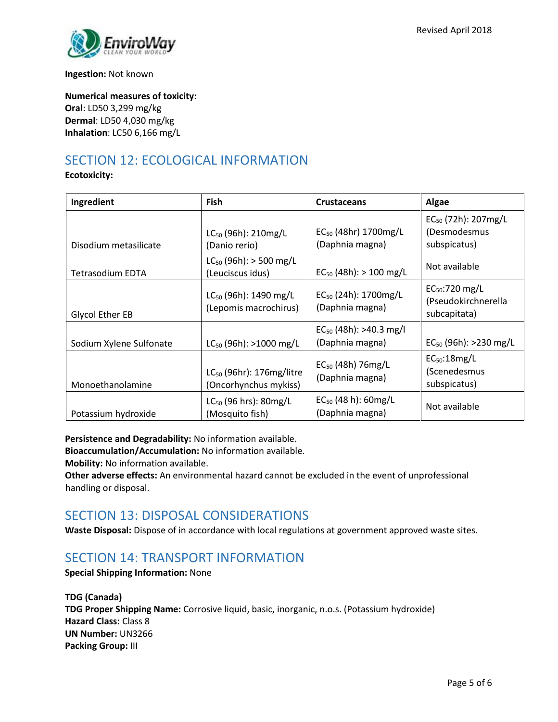

**Ingestion:** Not known

**Numerical measures of toxicity: Oral**: LD50 3,299 mg/kg **Dermal**: LD50 4,030 mg/kg **Inhalation**: LC50 6,166 mg/L

# SECTION 12: ECOLOGICAL INFORMATION

**Ecotoxicity:**

| Ingredient              | <b>Fish</b>                                            | <b>Crustaceans</b>                                  | Algae                                                           |
|-------------------------|--------------------------------------------------------|-----------------------------------------------------|-----------------------------------------------------------------|
| Disodium metasilicate   | LC <sub>50</sub> (96h): 210mg/L<br>(Danio rerio)       | $EC_{50}$ (48hr) 1700mg/L<br>(Daphnia magna)        | EC <sub>50</sub> (72h): 207mg/L<br>(Desmodesmus<br>subspicatus) |
| <b>Tetrasodium EDTA</b> | $LC_{50}$ (96h): > 500 mg/L<br>(Leuciscus idus)        | $EC_{50}$ (48h): > 100 mg/L                         | Not available                                                   |
| Glycol Ether EB         | $LC_{50}$ (96h): 1490 mg/L<br>(Lepomis macrochirus)    | EC <sub>50</sub> (24h): 1700mg/L<br>(Daphnia magna) | $EC_{50}$ :720 mg/L<br>(Pseudokirchnerella<br>subcapitata)      |
| Sodium Xylene Sulfonate | $LC_{50}$ (96h): >1000 mg/L                            | $EC_{50}$ (48h): >40.3 mg/l<br>(Daphnia magna)      | $EC_{50}$ (96h): >230 mg/L                                      |
| Monoethanolamine        | $LC_{50}$ (96hr): 176mg/litre<br>(Oncorhynchus mykiss) | $EC_{50}$ (48h) 76mg/L<br>(Daphnia magna)           | $EC_{50}$ :18mg/L<br>(Scenedesmus<br>subspicatus)               |
| Potassium hydroxide     | LC <sub>50</sub> (96 hrs): 80mg/L<br>(Mosquito fish)   | $EC_{50}$ (48 h): 60mg/L<br>(Daphnia magna)         | Not available                                                   |

**Persistence and Degradability:** No information available.

**Bioaccumulation/Accumulation:** No information available.

**Mobility:** No information available.

**Other adverse effects:** An environmental hazard cannot be excluded in the event of unprofessional handling or disposal.

# SECTION 13: DISPOSAL CONSIDERATIONS

**Waste Disposal:** Dispose of in accordance with local regulations at government approved waste sites.

### SECTION 14: TRANSPORT INFORMATION

**Special Shipping Information:** None

**TDG (Canada) TDG Proper Shipping Name:** Corrosive liquid, basic, inorganic, n.o.s. (Potassium hydroxide) **Hazard Class:** Class 8 **UN Number:** UN3266 **Packing Group:** III